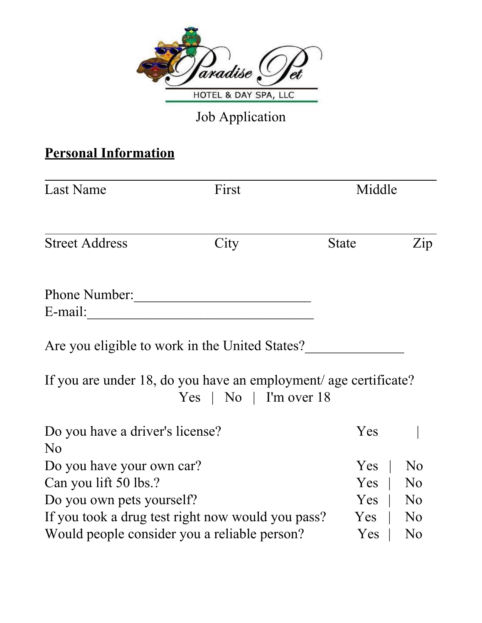

Job Application

# **Personal Information**

| <b>Last Name</b>                               | First                                                                                              | Middle       |                |
|------------------------------------------------|----------------------------------------------------------------------------------------------------|--------------|----------------|
| <b>Street Address</b>                          | City                                                                                               | <b>State</b> | Zip            |
| Phone Number:                                  |                                                                                                    |              |                |
| E-mail:                                        |                                                                                                    |              |                |
| Are you eligible to work in the United States? |                                                                                                    |              |                |
|                                                | If you are under 18, do you have an employment/ age certificate?<br>$Yes \mid No \mid I'm over 18$ |              |                |
| Do you have a driver's license?                |                                                                                                    | Yes          |                |
| N <sub>0</sub>                                 |                                                                                                    |              |                |
| Do you have your own car?                      |                                                                                                    | Yes          | N <sub>0</sub> |
| Can you lift 50 lbs.?                          |                                                                                                    | Yes          | N <sub>0</sub> |
| Do you own pets yourself?                      |                                                                                                    | Yes          | N <sub>0</sub> |
|                                                | If you took a drug test right now would you pass?                                                  | Yes          | N <sub>0</sub> |
| Would people consider you a reliable person?   |                                                                                                    | Yes          | N <sub>0</sub> |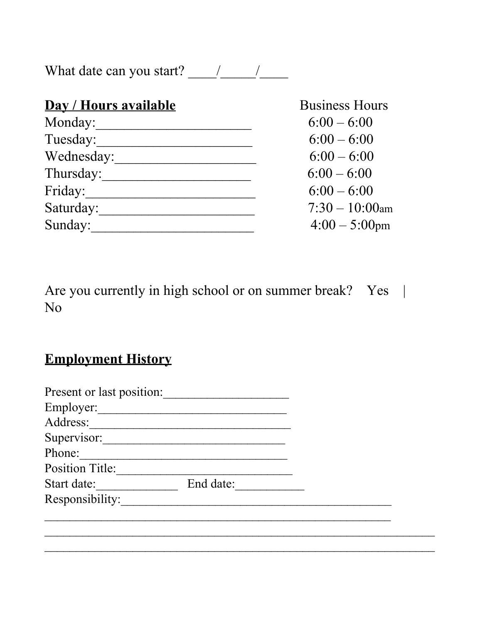What date can you start? \_\_\_\_/\_\_\_\_\_/\_\_\_\_

| Day / Hours available | <b>Business Hours</b> |
|-----------------------|-----------------------|
| Monday:               | $6:00 - 6:00$         |
| Tuesday:              | $6:00 - 6:00$         |
| Wednesday:            | $6:00 - 6:00$         |
| Thursday:             | $6:00 - 6:00$         |
| Friday:               | $6:00 - 6:00$         |
| Saturday:             | $7:30 - 10:00$ am     |
| Sunday:               | $4:00-5:00$ pm        |

Are you currently in high school or on summer break? Yes | No

# **Employment History**

| Present or last position: |           |  |
|---------------------------|-----------|--|
| Employer:                 |           |  |
| Address:                  |           |  |
| Supervisor:               |           |  |
| Phone:                    |           |  |
| <b>Position Title:</b>    |           |  |
| Start date:               | End date: |  |
| Responsibility:           |           |  |
|                           |           |  |
|                           |           |  |
|                           |           |  |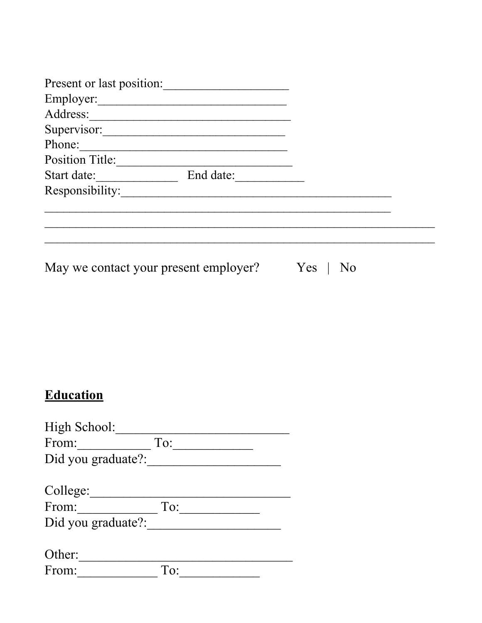| Present or last position:             |           |     |  |
|---------------------------------------|-----------|-----|--|
| Employer:                             |           |     |  |
| Address:                              |           |     |  |
| Supervisor:                           |           |     |  |
| Phone:                                |           |     |  |
| Position Title:                       |           |     |  |
| Start date:                           | End date: |     |  |
| Responsibility:                       |           |     |  |
|                                       |           |     |  |
|                                       |           |     |  |
|                                       |           |     |  |
|                                       |           |     |  |
| May we contact your present employer? |           | Yes |  |

| <b>Education</b> |
|------------------|
|                  |

| High School:       |     |  |
|--------------------|-----|--|
| From:              | To: |  |
| Did you graduate?: |     |  |
|                    |     |  |
| College:           |     |  |
| From:              | To: |  |
| Did you graduate?: |     |  |
|                    |     |  |
| Other:             |     |  |
| From:              | To: |  |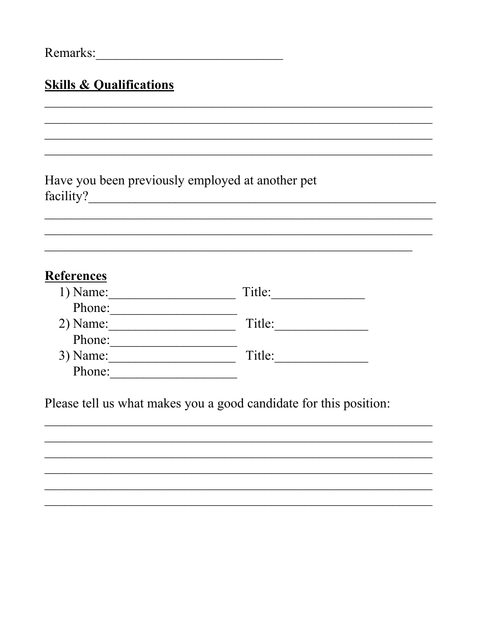| Remarks: |  |
|----------|--|
|          |  |

### **Skills & Qualifications**

Have you been previously employed at another pet 

#### **References**

| $1)$ Name: | Title: |
|------------|--------|
| Phone:     |        |
| $2)$ Name: | Title: |
| Phone:     |        |
| $3)$ Name: | Title: |
| Phone:     |        |

Please tell us what makes you a good candidate for this position: